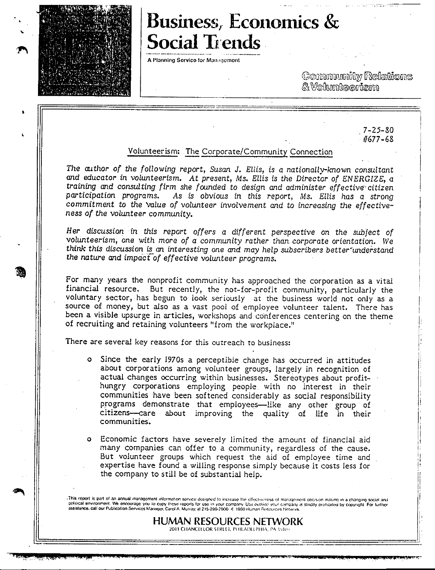

# Business, Economics & **Social Trends**

A Planning Service for Management

(Counnmunity Relations  $\&$  Wollumkeerism

> $7 - 25 - 80$ /1677-68

### Volunteerism: The Corporate/Community Connection

*The author of the following* report, *Susan* J. *Ellis,* is *a nationally-known consultant and educator* in volunteerism. *At* present, *Ms. Ellis is the* Director *of ENERGIZE, a training and* consulting firm *she founded to design and administer effective'citizen participation programs. As* is obvious in *this* report, *Ms. Ellis has a strong*  commitment *to the Value of volunteer* involvement *and to increasing the effectiveness of the volunteer* community.

Her *discussion* in *this report offers a different* perspective on *the subject of volunteerism,* one with more *of a community rather than. corporate orientation. We*  think this discussion is an interesting one and may help subscribers better understand *the nature and impactof* effective *volunteer* programs.

For many years the nonprofit community has approached the corporation as a vital financial resource. But recently, the not-for-profit community, particularly the voluntary sector, has begun to look seriously at the business world not only as a source of money, but also as a vast pool of employee volunteer talent. There has been a *visible* upsurge in *articles,* workshops and conferences centering on the theme of recruiting and retaining volunteers "from the workplace."

There are several key reasons for *this* outreach to business:

- o Since the early 1970s a perceptible change has occurred in attitudes about corporations among volunteer groups, largely in recognition of actual changes occurring within businesses. Stereotypes about profithungry corporations employing people. with no interest in their communities have been softened considerably as social responsibility programs demonstrate that employees-like any other group of citizens-care about improving the quality of life in their communities.
- o Economic factors have severely *limited* the amount of financial aid many companies can offer to a community, regardless of the cause. But volunteer groups which request the aid of employee time and expertise have found a willing response simply because it costs less for the company to still be of substantial help.

This report is part of an annual management information service designed to increase the effectivieness of management decision making in a changing social and political environment. We encourage you to copy these reports for use in your company. Use outside your company is strictly prohibited by copyright. For further assistance, call our Publication Services Manager. Carol A. Murray. at 215-290-2900 -c 1980 Human Resources Network.

> **HUMAN RESOURCES NETWORK**  2011 CHANCELLOR SI REEL, PHILADELPHIA, PA 19103

3¥.A+?AM-.~.iJ(,t.m;z.uµ \_\_ z a;s4s;; ML **o .PP** .: \$QCJi.W7i./4{..Ul4WC#l144M-i;,4 **J .:w:;u:\_w,: ,A. Qt** 11,Y \*i44-£4t-t,·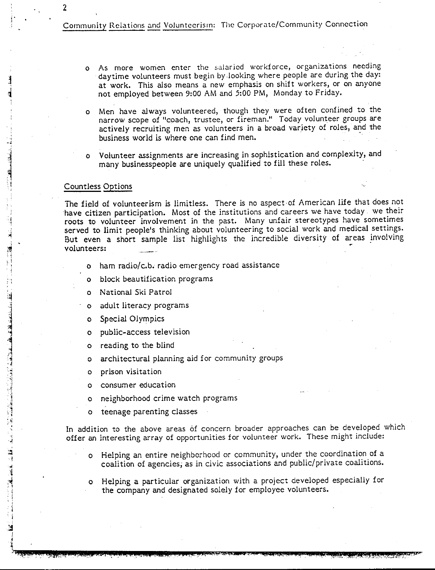Community Relations and Voluntecrism: The Corporate/Community Connection

- o As more women enter the salaried workforce, organizations needing daytime volunteers must begin by looking where people are during the day: at work. This also means a new emphasis on shift workers, or on anyone not employed between 9:00 AM and 5:00 PM, Monday to Friday.
- o Men have always volunteered, though they were often confined to the narrow scope of "coach, trustee, or fireman." Today volunteer groups are actively recruiting men as volunteers in a broad variety of roles, and the business world is where one can find men.
- o Volunteer assignments are increasing in sophistication and complexity, and many businesspeople are uniquely qualified to fill these roles.

#### Countless Options

and the state of the state of the state of the state of the state of the state of the state of the state of the

2

The field of volunteerism is limitless. There is no aspect of American life that does not have citizen participation. Most of the institutions and careers we have today we their roots to volunteer involvement in the past. Many unfair stereotypes have sometimes served to limit people's thinking about volunteering to social work and medical settings. But even a short sample list highlights the incredible diversity of areas involving volunteers:

- o ham radio/c.b. radio emergency road assistance
- o block beautification programs
- o National Ski Patrol
- o adult literacy programs
- o Special Olympics
- o public-access television
- o reading to the blind
- o architectural planning aid for community groups
- o prison visitation
- o consumer education
- o neighborhood crime watch programs
- teenage parenting classes

In addition to the above areas of concern broader approaches can be developed which offer an interesting array of opportunities for volunteer work. These might include:

- Helping an entire neighborhood or community, under the coordination of a coalition of agencies; as in civic associations and public/private coalitions.
- o Helping a particular organization with a project developed especially for the company and designated solely for employee volunteers.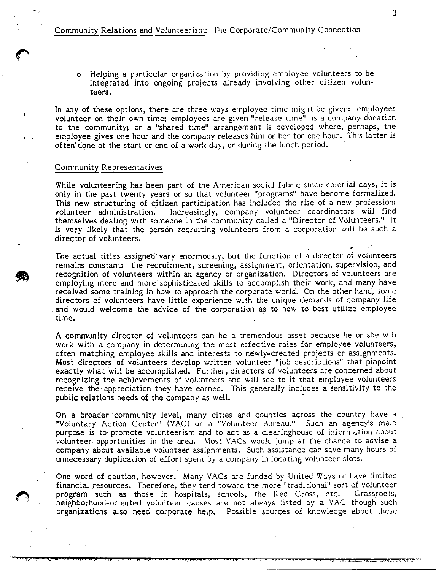Community Relations and Volunteerism: lhe Corporate/Community Connection

o Helping a particular organization by providing employee volunteers to be integrated into ongoing projects already involving other citizen volunteers.

3

In any of these options, there are three ways employee time might be given: employees volunteer on their own time; employees are given "release time" as a company donation to the community; or a "shared time" arrangement is developed where, perhaps, the employee gives one hour and the company releases him or her for one hour. This latter is often· done at the start or end of a work day, or during the lunch period.

#### Community Representatives

While volunteering has been part of the American social fabric since colonial days, it is only in the past twenty years or so that volunteer "programs" have become formalized. This new structuring of citizen participation has included the rise of a new profession: volunteer administration. Increasingly, company volunteer coordinators will find themselves dealing with someone in the community called a "Director of Volunteers." It is very likely that the person recruiting volunteers from a corporation will be such a director of volunteers.

The actual titles assigned vary enormously, but the function of a director of volunteers remains constant: the recruitment, screening, assignment, orientation, supervision, and recognition of volunteers within an agency or organization. Directors of volunteers are employing more and more sophisticated skills to accomplish their work, and many have received some training in how to approach the corporate world. On the other hand, some directors of volunteers have little experience with the unique demands of company life and would welcome the advice of the corporation as to how to best utilize employee  $time.$   $\blacksquare$ 

A community director of volunteers can be a tremendous asset because he or she will work with a company in determining the most effective roles for employee volunteers, often matching employee skills and interests to newly-created projects or assignments. Most directors of volunteers develop written volunteer "job descriptions" that pinpoint exactly what will be accomplished. Further, directors of volunteers are concerned about recognizing the achievements of volunteers and will see to it that employee volunteers receive the· appreciation they have earned. This generally includes a sensitivity to the public relations needs of the company as well.

On a broader community level, many cities and counties across the country have a "Voluntary Action Center" (VAC) or a "Volunteer Bureau." Such an agency's main purpose is to promote volunteerism and to act as a clearinghouse of information about volunteer opportunities in the area. Most VACs would jump at the chance to advise a company about available volunteer assignments. Such assistance can save many hours of unnecessary duplication of effort spent by a company in locating volunteer slots.

One word of caution, however. Many VACs are funded by United Ways or have limited financial resources. Therefore, they tend toward the more "traditional" sort of volunteer program such as those in hospitals, schools, the Red Cross, etc. Grassroots, neighborhood-oriented volunteer causes are not always listed by a VAC though such organizations also need corporate help. Possible sources of knowledge about these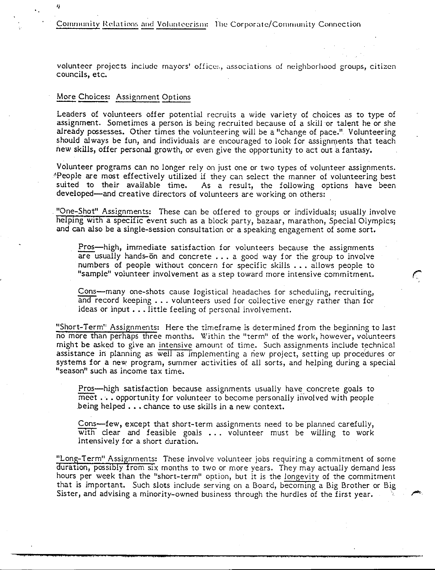Community Relations and Volunteerism: The Corporate/Community Connection

volunteer projects include mayors' offices, associations of neighborhood groups, citizen councils, etc.

#### More Choices: Assignment Options

'I

Leaders of volunteers offer potential recruits a wide variety of choices as to type of assignment. Sometimes a person is being recruited because of a skill or talent he or she already possesses. Other times the volunteering will be a "change of pace." Volunteering should always be fun, and individuals are encouraged to look for assignments that teach new skills, offer personal growth, or even give the opportunity to act out a fantasy.

Volunteer programs can no longer rely on just one or two types of volunteer assignments. \*People are most effectively utilized if they can select the manner of volunteering best suited to their available time. As a result, the following options have been As a result, the following options have been developed-and creative directors of volunteers are working on others:

. "One-Shot" Assignments: These can be offered to groups or individuals; usually involve helping with a specific event such as a block party, bazaar, marathon, Special Olympics; and can also be a single-session consultation or a speaking engagement of some sort.

Pros-high, immediate satisfaction for volunteers because the assignments are usually hands-on and concrete  $\dots$  a good way for the group to involve numbers of people without concern for specific skills ... allows people to "sample" volunteer involvement as a step toward more intensive commitment.

 $\mathcal{C}^{\mathbb{C}}$ 

Cons-many one-shots cause logistical headaches for scheduling, recruiting, and record keeping ... volunteers used for collective energy rather than for ideas or input . . . little feeling of personal involvement.

"Short-Term" Assignments: Here the timeframe is determined from the beginning to last no more than perhaps three months. Within the "term" of the work, however, volunteers might be asked to give an intensive amount of time. Such assignments include technical assistance in planning as well as implementing a new project, setting up procedures or systems for a new program, summer activities of all sorts, and helping during a special "season" such as income tax time.

Pros-high satisfaction because assignments usually have concrete goals to  $\overline{\text{meet}}$  ... opportunity for volunteer to become personally involved with people being helped  $\ldots$  chance to use skills in a new context.

Cons-few, except that short-term assignments need to be planned carefully,  $\overline{\text{with}}$  clear and feasible goals  $\ldots$  volunteer must be willing to work intensively for a short duration.

"Long-Term" Assignments: These involve volunteer jobs requiring a commitment of some duration, possibly from six months to two or more years. They may actually demand less hours per week than the "short-term" option, but it is the longevity of the commitment that is important. Such slots include serving on a Board, becoming a Big Brother or Big Sister, and advising a minority-owned business through the hurdles of the first year.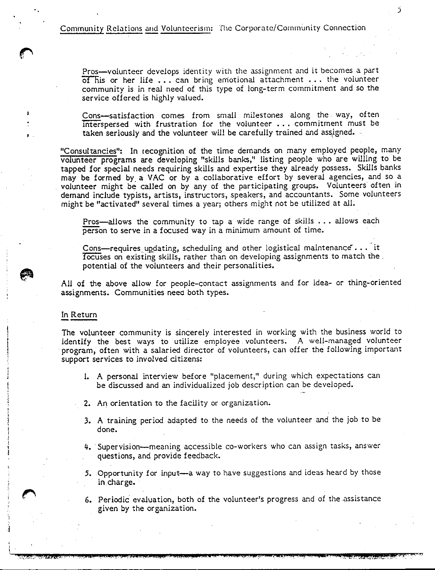Community Relations and Volunteerism: The Corporate/Community Connection

Pros-volunteer develops identity with the assignment and it becomes a part  $\overline{of}$  his or her life ... can bring emotional attachment ... the volunteer community is in real need of this type of long-term commitment and so the service offered is highly valued.

Cons-satisfaction comes from small milestones along the way, often mterspersed with frustration for the volunteer ... commitment must be taken seriously and the volunteer will be carefully trained and assigned.

"Consultancies": In recognition of the time demands on many employed people, many volunteer programs are developing "skills banks," listing people who are willing to be tapped for special needs requiring skills and expertise they already possess. Skills banks may be formed by a VAC or by a collaborative effort by several agencies, and so a volunteer might be called on by any of the participating groups. Volunteers often in demand include typists, artists, instructors, speakers, and accountants. Some volunteers might be "activated" several times a year; others might not be utilized at all.

Pros-allows the community to tap a wide range of skills ... allows each person to serve in a focused way in a minimum amount of time.

Cons-requires updating, scheduling and other logistical maintenance"... it focuses on existing skills, rather than on developing assignments to match the . potential of the volunteers and their personalities.

All of the above allow for people-contact assignments and for idea- or thing-oriented assignments. Communities neeo both types.

## In Return

 $\mathbf{r}$ 

The volunteer community is sincerely interested in working with the business world to identify the best ways to utilize employee . volunteers. A well-managed volunteer program, often with a salaried director of volunteers, can offer the following important support services to involved citizens:

- l. A personal interview before "placement," during which expectations can be discussed and an individualized job description can be developed.
- 2. An orientation to the facility or organization.
- **3. A** training period adapted to the needs of the volunteer and the job to be done.
- 4. Supervision--meaning accessible co-workers who can assign tasks, answer questions, and provide feedback.
- 5. Opportunity for input-a way to have suggestions and ideas heard by those in charge.
- 6. Periodic evaluation, both of the volunteer's progress and of the assistance given by the organization.

*5*